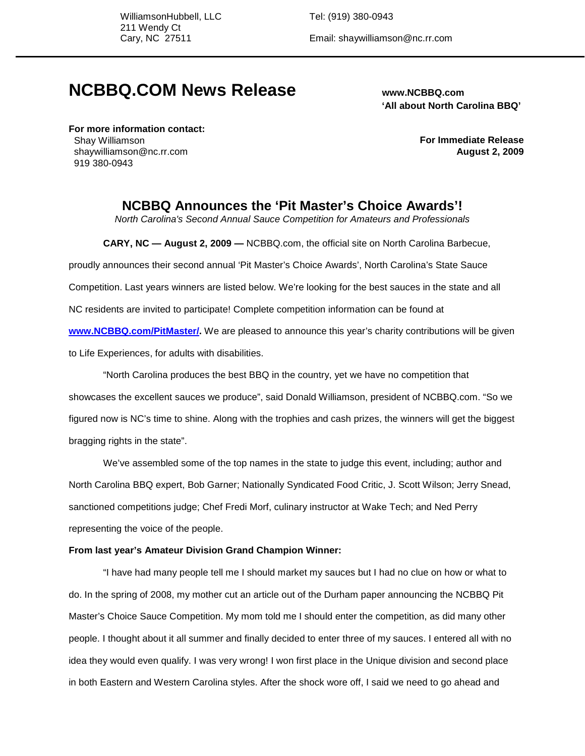WilliamsonHubbell, LLC Tel: (919) 380-0943 211 Wendy Ct

Cary, NC 27511 Email: shaywilliamson@nc.rr.com

# **NCBBQ.COM News Release www.NCBBQ.com**

 **'All about North Carolina BBQ'**

**For more information contact:**  Shay Williamson shaywilliamson@nc.rr.com 919 380-0943

**For Immediate Release August 2, 2009**

# **NCBBQ Announces the 'Pit Master's Choice Awards'!**

North Carolina's Second Annual Sauce Competition for Amateurs and Professionals

**CARY, NC — August 2, 2009 —** NCBBQ.com, the official site on North Carolina Barbecue,

proudly announces their second annual 'Pit Master's Choice Awards', North Carolina's State Sauce

Competition. Last years winners are listed below. We're looking for the best sauces in the state and all

NC residents are invited to participate! Complete competition information can be found at

**www.NCBBQ.com/PitMaster/.** We are pleased to announce this year's charity contributions will be given to Life Experiences, for adults with disabilities.

"North Carolina produces the best BBQ in the country, yet we have no competition that showcases the excellent sauces we produce", said Donald Williamson, president of NCBBQ.com. "So we figured now is NC's time to shine. Along with the trophies and cash prizes, the winners will get the biggest bragging rights in the state".

We've assembled some of the top names in the state to judge this event, including; author and North Carolina BBQ expert, Bob Garner; Nationally Syndicated Food Critic, J. Scott Wilson; Jerry Snead, sanctioned competitions judge; Chef Fredi Morf, culinary instructor at Wake Tech; and Ned Perry representing the voice of the people.

#### **From last year's Amateur Division Grand Champion Winner:**

"I have had many people tell me I should market my sauces but I had no clue on how or what to do. In the spring of 2008, my mother cut an article out of the Durham paper announcing the NCBBQ Pit Master's Choice Sauce Competition. My mom told me I should enter the competition, as did many other people. I thought about it all summer and finally decided to enter three of my sauces. I entered all with no idea they would even qualify. I was very wrong! I won first place in the Unique division and second place in both Eastern and Western Carolina styles. After the shock wore off, I said we need to go ahead and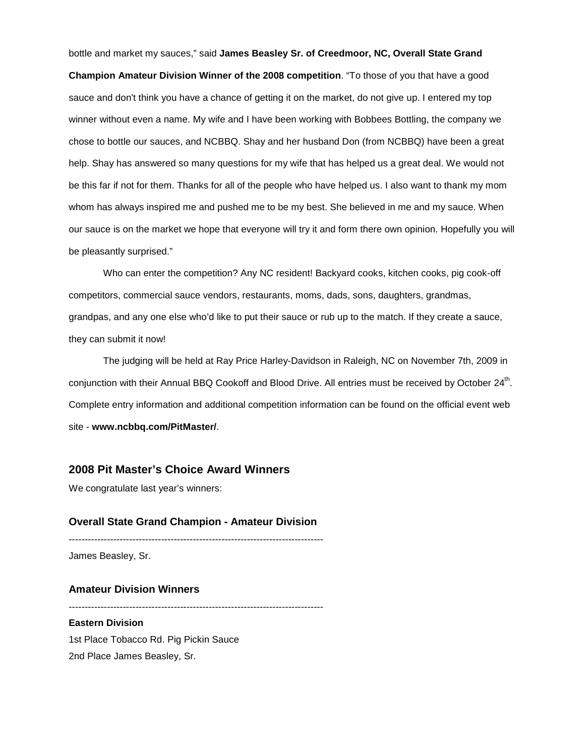bottle and market my sauces," said **James Beasley Sr. of Creedmoor, NC, Overall State Grand Champion Amateur Division Winner of the 2008 competition**. "To those of you that have a good sauce and don't think you have a chance of getting it on the market, do not give up. I entered my top winner without even a name. My wife and I have been working with Bobbees Bottling, the company we chose to bottle our sauces, and NCBBQ. Shay and her husband Don (from NCBBQ) have been a great help. Shay has answered so many questions for my wife that has helped us a great deal. We would not be this far if not for them. Thanks for all of the people who have helped us. I also want to thank my mom whom has always inspired me and pushed me to be my best. She believed in me and my sauce. When our sauce is on the market we hope that everyone will try it and form there own opinion. Hopefully you will be pleasantly surprised."

Who can enter the competition? Any NC resident! Backyard cooks, kitchen cooks, pig cook-off competitors, commercial sauce vendors, restaurants, moms, dads, sons, daughters, grandmas, grandpas, and any one else who'd like to put their sauce or rub up to the match. If they create a sauce, they can submit it now!

The judging will be held at Ray Price Harley-Davidson in Raleigh, NC on November 7th, 2009 in conjunction with their Annual BBQ Cookoff and Blood Drive. All entries must be received by October 24<sup>th</sup>. Complete entry information and additional competition information can be found on the official event web site - **www.ncbbq.com/PitMaster/**.

# **2008 Pit Master's Choice Award Winners**

We congratulate last year's winners:

#### **Overall State Grand Champion - Amateur Division**

--------------------------------------------------------------------------------

James Beasley, Sr.

#### **Amateur Division Winners**

--------------------------------------------------------------------------------

**Eastern Division**  1st Place Tobacco Rd. Pig Pickin Sauce 2nd Place James Beasley, Sr.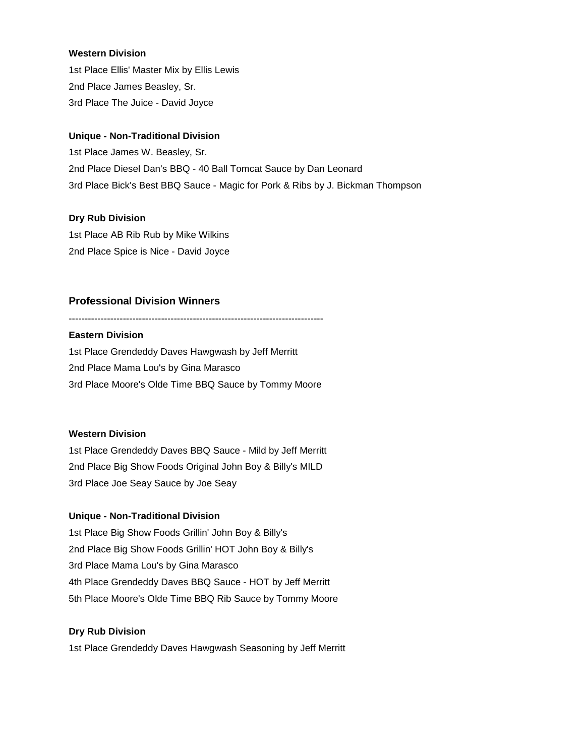#### **Western Division**

1st Place Ellis' Master Mix by Ellis Lewis 2nd Place James Beasley, Sr. 3rd Place The Juice - David Joyce

#### **Unique - Non-Traditional Division**

1st Place James W. Beasley, Sr. 2nd Place Diesel Dan's BBQ - 40 Ball Tomcat Sauce by Dan Leonard 3rd Place Bick's Best BBQ Sauce - Magic for Pork & Ribs by J. Bickman Thompson

#### **Dry Rub Division**

1st Place AB Rib Rub by Mike Wilkins 2nd Place Spice is Nice - David Joyce

## **Professional Division Winners**

--------------------------------------------------------------------------------

### **Eastern Division**

1st Place Grendeddy Daves Hawgwash by Jeff Merritt 2nd Place Mama Lou's by Gina Marasco 3rd Place Moore's Olde Time BBQ Sauce by Tommy Moore

#### **Western Division**

1st Place Grendeddy Daves BBQ Sauce - Mild by Jeff Merritt 2nd Place Big Show Foods Original John Boy & Billy's MILD 3rd Place Joe Seay Sauce by Joe Seay

#### **Unique - Non-Traditional Division**

1st Place Big Show Foods Grillin' John Boy & Billy's 2nd Place Big Show Foods Grillin' HOT John Boy & Billy's 3rd Place Mama Lou's by Gina Marasco 4th Place Grendeddy Daves BBQ Sauce - HOT by Jeff Merritt 5th Place Moore's Olde Time BBQ Rib Sauce by Tommy Moore

#### **Dry Rub Division**

1st Place Grendeddy Daves Hawgwash Seasoning by Jeff Merritt